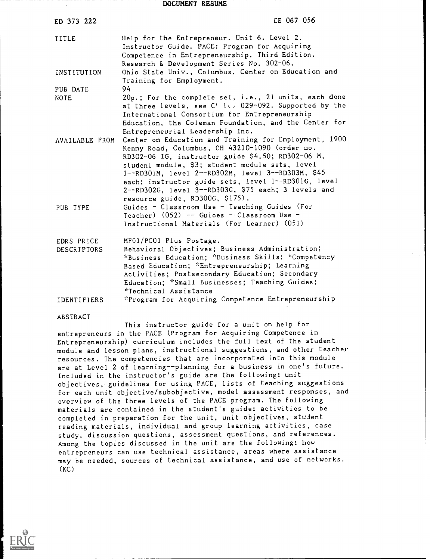DOCUMENT RESUME

| ED 373 222                       | CE 067 056                                                                                                                                                                                                                                                                                                                                                                                                                                                                                                |
|----------------------------------|-----------------------------------------------------------------------------------------------------------------------------------------------------------------------------------------------------------------------------------------------------------------------------------------------------------------------------------------------------------------------------------------------------------------------------------------------------------------------------------------------------------|
| TITLE                            | Help for the Entrepreneur. Unit 6. Level 2.<br>Instructor Guide. PACE: Program for Acquiring<br>Competence in Entrepreneurship. Third Edition.<br>Research & Development Series No. 302-06.                                                                                                                                                                                                                                                                                                               |
| INSTITUTION                      | Ohio State Univ., Columbus. Center on Education and<br>Training for Employment.                                                                                                                                                                                                                                                                                                                                                                                                                           |
| PUB DATE<br><b>NOTE</b>          | 94<br>20p.; For the complete set, i.e., 21 units, each done<br>at three levels, see C' (e) 029-092. Supported by the<br>International Consortium for Entrepreneurship<br>Education, the Coleman Foundation, and the Center for                                                                                                                                                                                                                                                                            |
| AVAILABLE FROM<br>PUB TYPE       | Entrepreneurial Leadership Inc.<br>Center on Education and Training for Employment, 1900<br>Kenny Road, Columbus, CH 43210-1090 (order no.<br>RD302-06 IG, instructor guide \$4.50; RD302-06 M,<br>student module, \$3; student module sets, level<br>1--RD301M, level 2--RD302M, level 3--RD303M, \$45<br>each; instructor guide sets, level 1--RD301G, level<br>2--RD302G, level 3--RD303G, \$75 each; 3 levels and<br>resource guide, RD300G, \$175).<br>Guides - Classroom Use - Teaching Guides (For |
|                                  | Teacher) $(052)$ -- Guides - Classroom Use -<br>Instructional Materials (For Learner) (051)                                                                                                                                                                                                                                                                                                                                                                                                               |
| EDRS PRICE<br><b>DESCRIPTORS</b> | MF01/PC01 Plus Postage.<br>Behavioral Objectives; Business Administration;<br>*Business Education; *Business Skills; *Competency<br>Based Education; *Entrepreneurship; Learning<br>Activities; Postsecondary Education; Secondary<br>Education; *Small Businesses; Teaching Guides;<br>*Technical Assistance                                                                                                                                                                                             |
| IDENTIFIERS                      | *Program for Acquiring Competence Entrepreneurship                                                                                                                                                                                                                                                                                                                                                                                                                                                        |

ABSTRACT

This instructor guide for a unit on help for entrepreneurs in the PACE (Program for Acquiring Competence in Entrepreneurship) curriculum includes the full text of the student module and lesson plans, instructional suggestions, and other teacher resources. The competencies that are incorporated into this module are at Level 2 of learning--planning for a business in one's future. Included in the instructor's guide are the following: unit objectives, guidelines for using PACE, lists of teaching suggestions for each unit objective/subobjective, model assessment responses, and overview of the three levels of the PACE program. The following materials are contained in the student's guide: activities to be completed in preparation for the unit, unit objectives, student reading materials, individual and group learning activities, case study, discussion questions, assessment questions, and references. Among the topics discussed in the unit are the following: how entrepreneurs can use technical assistance, areas where assistance may be needed, sources of technical assistance, and use of networks.  $(KC)$ 

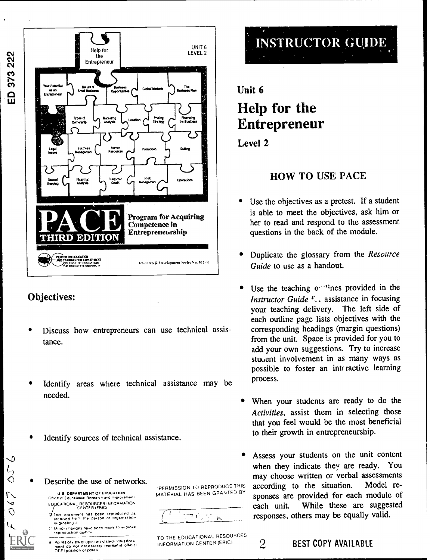

### Objectives:

 $\overline{O}$ 

 $\overline{1}$ 

╰  $l<sub>2</sub>$  $\overline{\bigcirc}$ 

- Discuss how entrepreneurs can use technical assistance.
- Identify areas where technical assistance may be needed.
- Identify sources of technical assistance.
- Describe the use of networks.

U S. DEPARTMENT OF EDUCATION Office of Educational Research and Improvement<br>EDUCATIONAL RESOURCES INFORMATION<br>CENTER (FRIC) line

- This document has been reproduced as<br>received from the person or organization ww.gineting it i'r Minor changes have been made In improve.<br>I reproduction quality
- Points of view or opinions stated in this doc u<br>menT do: not: necessarily: represent: official<br>OF RI position or policy

PERMISSION TO REPRODUCE THIS MATERIAL HAS BEEN GRANTED BY



TO THE EDUCATIONAL RESOURCES<br>INFORMATION CENTER (ERIC)



# Unit 6 Help for the Entrepreneur

### Level 2

### HOW TO USE PACE

- Use the objectives as a pretest. If a student is able to meet the objectives, ask him or her to read and respond to the assessment questions in the back of the module.
- Duplicate the glossary from the Resource Guide to use as a handout.
- Use the teaching  $e^{i \cdot t}$  ines provided in the Instructor Guide  $f<sub>s</sub>$ , assistance in focusing your teaching delivery. The left side of each outline page lists objectives with the corresponding headings (margin questions) from the unit. Space is provided for you to add your own suggestions. Try to increase student involvement in as many ways as possible to foster an interactive learning process.
- When your students are ready to do the Activities, assist them in selecting those that you feel would be the most beneficial to their growth in entrepreneurship.
- Assess your students on the unit content when they indicate they are ready. You may choose written or verbal assessments according to the situation. Model responses are provided for each module of each unit. While these are suggested responses, others may be equally valid.
- 

### INFORMATION CENTER (ERICI **2** BEST COPY AVAILABLE

373 222  $\overset{\rightharpoonup}{\mathbf{a}}$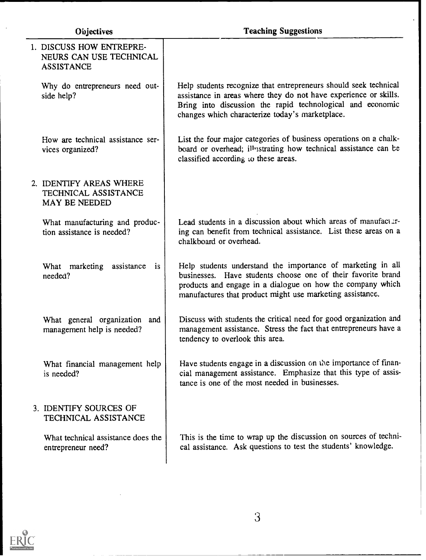$\ddot{\phantom{a}}$ 

| 1. DISCUSS HOW ENTREPRE-<br>NEURS CAN USE TECHNICAL<br><b>ASSISTANCE</b> |                                                                                                                                                                                                                                                        |
|--------------------------------------------------------------------------|--------------------------------------------------------------------------------------------------------------------------------------------------------------------------------------------------------------------------------------------------------|
| Why do entrepreneurs need out-<br>side help?                             | Help students recognize that entrepreneurs should seek technical<br>assistance in areas where they do not have experience or skills.<br>Bring into discussion the rapid technological and economic<br>changes which characterize today's marketplace.  |
| How are technical assistance ser-<br>vices organized?                    | List the four major categories of business operations on a chalk-<br>board or overhead; illustrating how technical assistance can be<br>classified according to these areas.                                                                           |
| 2. IDENTIFY AREAS WHERE<br>TECHNICAL ASSISTANCE<br><b>MAY BE NEEDED</b>  |                                                                                                                                                                                                                                                        |
| What manufacturing and produc-<br>tion assistance is needed?             | Lead students in a discussion about which areas of manufactar-<br>ing can benefit from technical assistance. List these areas on a<br>chalkboard or overhead.                                                                                          |
| What marketing assistance is<br>needed?                                  | Help students understand the importance of marketing in all<br>businesses. Have students choose one of their favorite brand<br>products and engage in a dialogue on how the company which<br>manufactures that product might use marketing assistance. |
| What general organization and<br>management help is needed?              | Discuss with students the critical need for good organization and<br>management assistance. Stress the fact that entrepreneurs have a<br>tendency to overlook this area.                                                                               |
| What financial management help<br>is needed?                             | Have students engage in a discussion on the importance of finan-<br>cial management assistance. Emphasize that this type of assis-<br>tance is one of the most needed in businesses.                                                                   |
| 3. IDENTIFY SOURCES OF<br>TECHNICAL ASSISTANCE                           |                                                                                                                                                                                                                                                        |
| What technical assistance does the<br>entrepreneur need?                 | This is the time to wrap up the discussion on sources of techni-<br>cal assistance. Ask questions to test the students' knowledge.                                                                                                                     |
|                                                                          |                                                                                                                                                                                                                                                        |

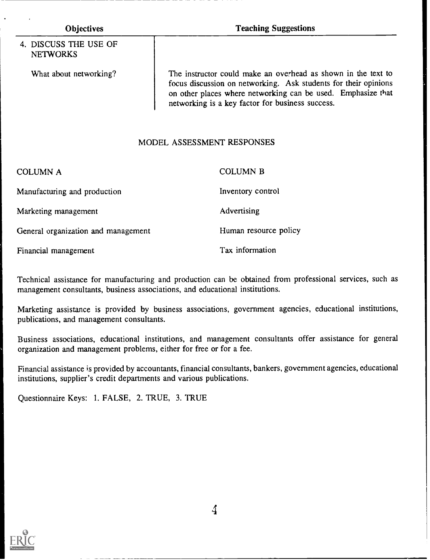### 4. DISCUSS THE USE OF NETWORKS

Objectives Teaching Suggestions

What about networking? The instructor could make an overhead as shown in the text to focus discussion on networking. Ask students for their opinions on other places where networking can be used. Emphasize that networking is a key factor for business success.

### MODEL ASSESSMENT RESPONSES

| <b>COLUMN A</b>                     | <b>COLUMN B</b>       |
|-------------------------------------|-----------------------|
| Manufacturing and production        | Inventory control     |
| Marketing management                | Advertising           |
| General organization and management | Human resource policy |
| Financial management                | Tax information       |

Technical assistance for manufacturing and production can be obtained from professional services, such as management consultants, business associations, and educational institutions.

Marketing assistance is provided by business associations, government agencies, educational institutions, publications, and management consultants.

Business associations, educational institutions, and management consultants offer assistance for general organization and management problems, either for free or for a fee.

Financial assistance is provided by accountants, financial consultants, bankers, government agencies, educational institutions, supplier's credit departments and various publications.

Questionnaire Keys: 1. FALSE, 2. TRUE, 3. TRUE



4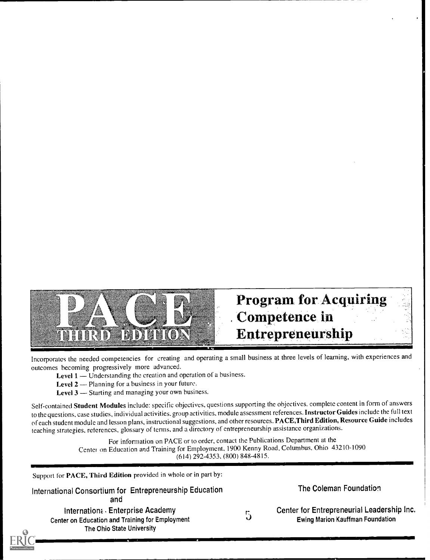

# Program for Acquiring Competence in Entrepreneurship

Incorporates the needed competencies for creating and operating a small business at three levels of learning, with experiences and outcomes becoming progressively more advanced.

- Level 1 Understanding the creation and operation of a business.
- Level  $2$  Planning for a business in your future.
- **Level 3**  $-$  Starting and managing your own business.

Self-contained Student Modules include: specific objectives, questions supporting the objectives. complete content in form of answers to the questions, case studies, individual activities, group activities, module assessment references. Instructor Guides include the full text of each student module and lesson plans, instructional suggestions, and other resources. PACE,Third Edition, Resource Guide includes teaching strategies, references, glossary of terms, and a directory of entrepreneurship assistance organizations.

> For information on PACE or to order, contact the Publications Department at the Centel on Education and Training for Employment, 1900 Kenny Road. Columbus. Ohio 43210-1090 (614) 292-4353. (800) 848-4815.

Support for PACE, Third Edition provided in whole or in part by:

International Consortium for Entrepreneurship Education and

Internation: Enterprise Academy Center on Education and Training for Employment The Ohio State University

The Coleman Foundation

5

Center for Entrepreneurial Leadership Inc. Ewing Marion Kauffman Foundation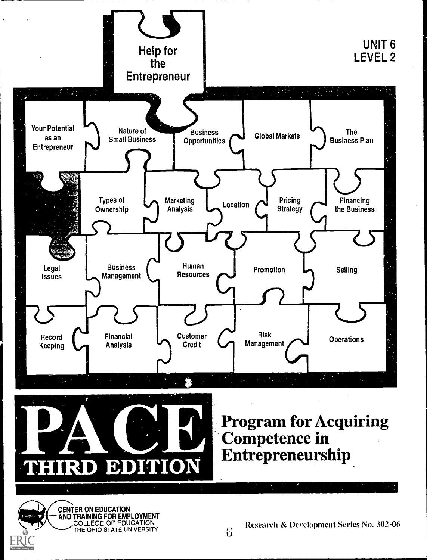

Research & Development Series No. 302-06

THE OHIO STATE UNIVERSITY **RELATIONS**  $\mathbf{U}$  and  $\mathbf{U}$  and  $\mathbf{U}$ 

CENTER ON EDUCATION

AND TRAINING FOR EMPLOYMENT COLLEGE OF EDUCATION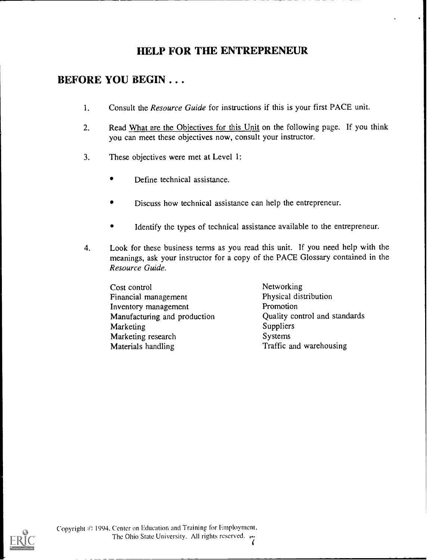# HELP FOR THE ENTREPRENEUR

### BEFORE YOU BEGIN . . .

- 1. Consult the *Resource Guide* for instructions if this is your first PACE unit.
- 2. Read What are the Objectives for this Unit on the following page. If you think you can meet these objectives now, consult your instructor.
- 3. These objectives were met at Level 1:
	- Define technical assistance.
	- Discuss how technical assistance can help the entrepreneur.
	- Identify the types of technical assistance available to the entrepreneur.
- 4. Look for these business terms as you read this unit. If you need help with the meanings, ask your instructor for a copy of the PACE Glossary contained in the Resource Guide.

Cost control Cost control<br>
Financial management<br>
Physical distribution Financial management.<br>
Inventory management<br>
Promotion Inventory management Manufacturing and production **Cuality Control and Standards**<br>Marketing Suppliers Marketing Suppliers<br>
Marketing research Systems Marketing research Materials handling Traffic and warehousing



(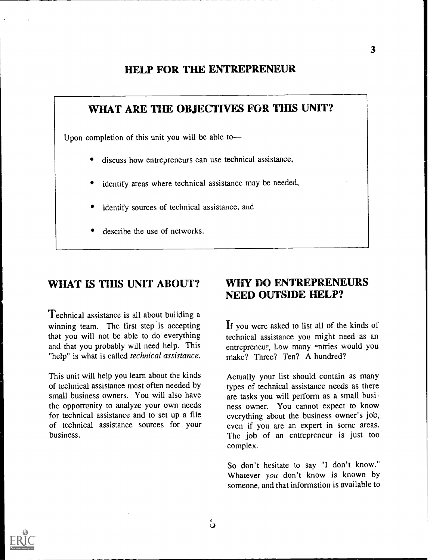### HELP FOR THE ENTREPRENEUR

# WHAT ARE THE OBJECTIVES FOR THIS UNIT? Upon completion of this unit you will be able todiscuss how entrepreneurs can use technical assistance, identify areas where technical assistance may be needed, identify sources of technical assistance, and

describe the use of networks.

## WHAT IS THIS UNIT ABOUT?

Technical assistance is all about building a winning team. The first step is accepting that you will not be able to do everything and that you probably will need help. This "help" is what is called technical assistance.

This unit will help you learn about the kinds of technical assistance most often needed by small business owners. You will also have the opportunity to analyze your own needs for technical assistance and to set up a file of technical assistance sources for your business.

### WHY DO ENTREPRENEURS NEED OUTSIDE HELP?

If you were asked to list all of the kinds of technical assistance you might need as an entrepreneur, low many entries would you make? Three? Ten? A hundred?

Actually your list should contain as many types of technical assistance needs as there are tasks you will perform as a small business owner. You cannot expect to know everything about the business owner's job, even if you are an expert in some areas. The job of an entrepreneur is just too complex.

So don't hesitate to say "I don't know." Whatever you don't know is known by someone, and that information is available to

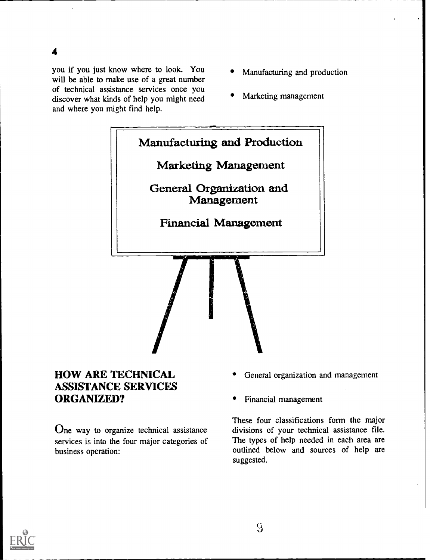4

you if you just know where to look. You will be able to make use of a great number of technical assistance services once you discover what kinds of help you might need and where you might find help.

- Manufacturing and production
- Marketing management



### HOW ARE TECHNICAL ASSISTANCE SERVICES ORGANIZED?

One way to organize technical assistance services is into the four major categories of business operation:

- General organization and management
- Financial management

These four classifications form the major divisions of your technical assistance file. The types of help needed in each area are outlined below and sources of help are suggested.

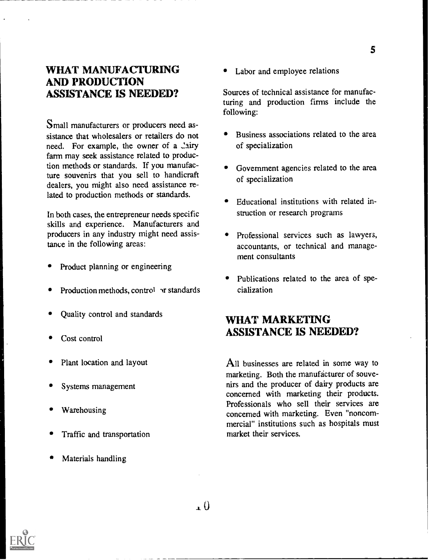### WHAT MANUFACTURING AND PRODUCTION ASSISTANCE IS NEEDED?

Small manufacturers or producers need assistance that wholesalers or retailers do not need. For example, the owner of a Lairy farm may seek assistance related to production methods or standards. If you manufacture souvenirs that you sell to handicraft dealers, you might also need assistance related to production methods or standards.

In both cases, the entrepreneur needs specific skills and experience. Manufacturers and producers in any industry might need assistance in the following areas:

- Product planning or engineering
- Production methods, control  $\gamma$  standards
- Quality control and standards
- Cost control
- Plant location and layout
- Systems management
- Warehousing
- Traffic and transportation
- Materials handling

• Labor and employee relations

Sources of technical assistance for manufacturing and production firms include the following:

- Business associations related to the area of specialization
- Government agencies related to the area of specialization
- Educational institutions with related instruction or research programs
- Professional services such as lawyers, accountants, or technical and management consultants
- Publications related to the area of specialization

### WHAT MARKETING ASSISTANCE IS NEEDED?

All businesses are related in some way to marketing. Both the manufacturer of souvenirs and the producer of dairy products are concerned with marketing their products. Professionals who sell their services are concerned with marketing. Even "noncommercial" institutions such as hospitals must market their services.

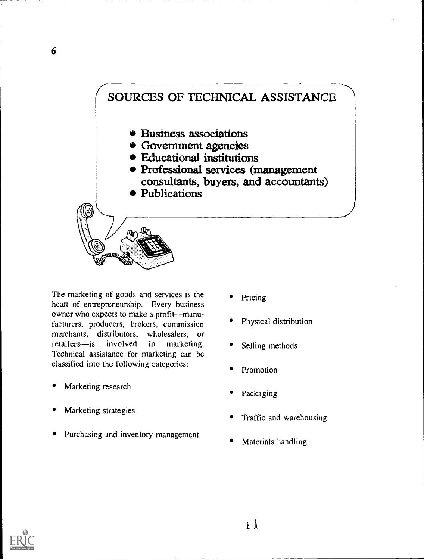# SOURCES OF TECHNICAL ASSISTANCE Business associations Government agencies Educational institutions Professional services (management consultants, buyers, and accountants) Publications (2002)

The marketing of goods and services is the heart of entrepreneurship. Every business owner who expects to make a profit--manufacturers, producers, brokers, commission merchants, distributors, wholesalers, or retailers-is involved in marketing. Technical assistance for marketing can be classified into the following categories:

- Marketing research
- Marketing strategies
- Purchasing and inventory management
- Pricing
- Physical distribution
- Selling methods
- Promotion
- Packaging
- Traffic and warehousing
- Materials handling

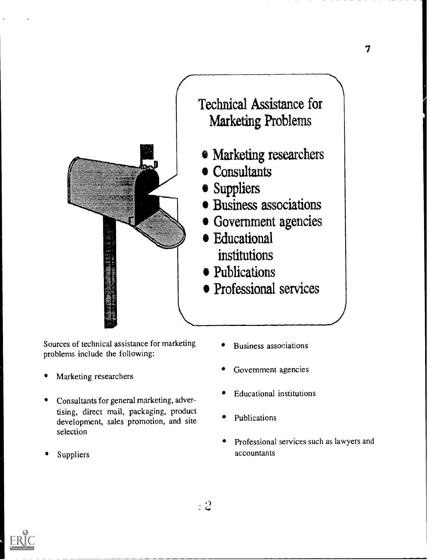

Sources of technical assistance for marketing problems include the following:

- Marketing researchers
- Consultants for general marketing, advertising, direct mail, packaging, product development, sales promotion, and site selection
- 
- Business associations
- Government agencies
- Educational institutions
- Publications
- Professional services such as lawyers and Suppliers accountants

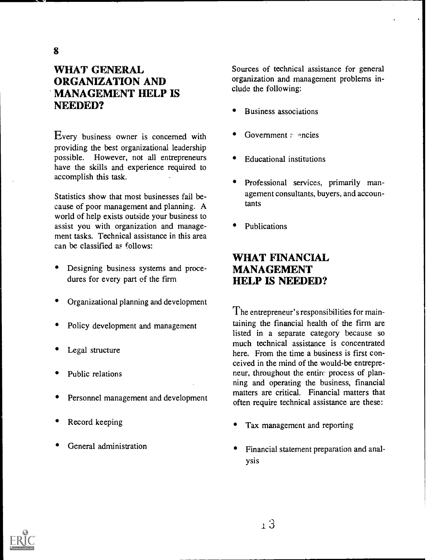# WHAT GENERAL ORGANIZATION AND MANAGEMENT HELP IS NEEDED?

Every business owner is concerned with providing the best organizational leadership possible. However, not all entrepreneurs have the skills and experience required to accomplish this task.

Statistics show that most businesses fail because of poor management and planning. A world of help exists outside your business to assist you with organization and management tasks. Technical assistance in this area can be classified as follows:

- Designing business systems and procedures for every part of the firm
- Organizational planning and development
- Policy development and management
- Legal structure
- Public relations
- Personnel management and development
- Record keeping
- General administration

Sources of technical assistance for general organization and management problems include the following:

- Business associations
- Government  $r$  encies
- Educational institutions
- Professional services, primarily management consultants, buyers, and accountants
- Publications

### WHAT FINANCIAL MANAGEMENT HELP IS NEEDED?

The entrepreneur's responsibilities for maintaining the financial health of the firm are listed in a separate category because so much technical assistance is concentrated here. From the time a business is first conceived in the mind of the would-be entrepreneur, throughout the entire process of planning and operating the business, financial matters are critical. Financial matters that often require technical assistance are these:

- Tax management and reporting
- Financial statement preparation and analysis

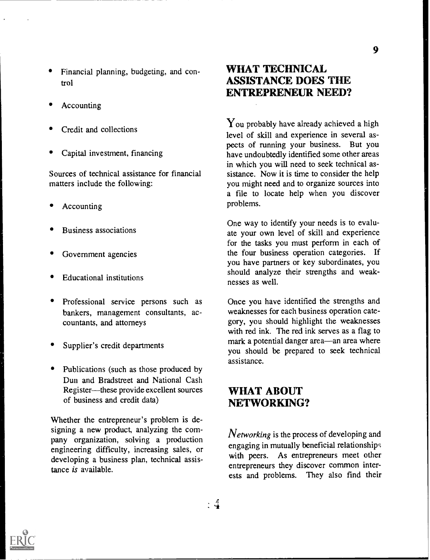- Financial planning, budgeting, and control
- Accounting
- Credit and collections
- Capital investment, financing

Sources of technical assistance for financial matters include the following:

- Accounting
- Business associations
- Government agencies
- Educational institutions
- Professional service persons such as bankers, management consultants, accountants, and attorneys
- Supplier's credit departments
- Publications (such as those produced by Dun and Bradstreet and National Cash Register-these provide excellent sources of business and credit data)

Whether the entrepreneur's problem is designing a new product, analyzing the company organization, solving a production engineering difficulty, increasing sales, or developing a business plan, technical assistance is available.

## WHAT TECHNICAL ASSISTANCE DOES THE ENTREPRENEUR NEED?

 $\gamma$ <sub>ou</sub> probably have already achieved a high level of skill and experience in several aspects of running your business. But you have undoubtedly identified some other areas in which you will need to seek technical assistance. Now it is time to consider the help you might need and to organize sources into a file to locate help when you discover problems.

One way to identify your needs is to evaluate your own level of skill and experience for the tasks you must perform in each of the four business operation categories. If you have partners or key subordinates, you should analyze their strengths and weaknesses as well.

Once you have identified the strengths and weaknesses for each business operation category, you should highlight the weaknesses with red ink. The red ink serves as a flag to mark a potential danger area—an area where you should be prepared to seek technical assistance.

### WHAT ABOUT NETWORKING?

 $\cdot$  4

*Networking* is the process of developing and engaging in mutually beneficial relationships with peers. As entrepreneurs meet other entrepreneurs they discover common interests and problems. They also find their



9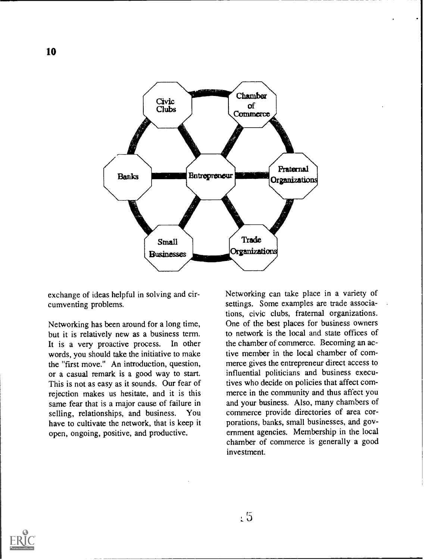

exchange of ideas helpful in solving and circumventing problems.

Networking has been around for a long time, but it is relatively new as a business term. It is a very proactive process. In other words, you should take the initiative to make the "first move." An introduction, question, or a casual remark is a good way to start. This is not as easy as it sounds. Our fear of rejection makes us hesitate, and it is this same fear that is a major cause of failure in selling, relationships, and business. You have to cultivate the network, that is keep it open, ongoing, positive, and productive.

Networking can take place in a variety of settings. Some examples are trade associations, civic clubs, fraternal organizations. One of the best places for business owners to network is the local and state offices of the chamber of commerce. Becoming an active member in the local chamber of commerce gives the entrepreneur direct access to influential politicians and business executives who decide on policies that affect commerce in the community and thus affect you and your business. Also, many chambers of commerce provide directories of area corporations, banks, small businesses, and government agencies. Membership in the local chamber of commerce is generally a good investment.



 $\sqrt{5}$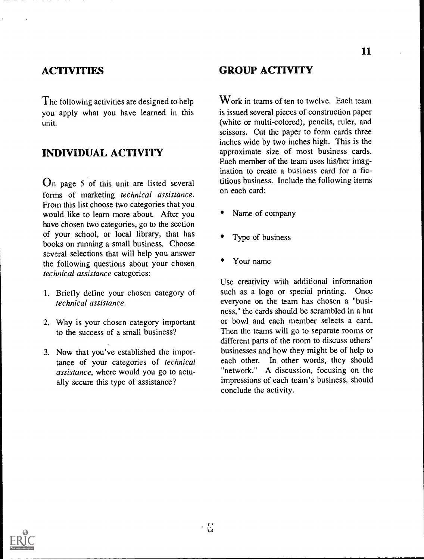### **ACTIVITIES**

The following activities are designed to help you apply what you have learned in this unit.

# INDIVIDUAL ACTIVITY

 $\Omega$ n page 5 of this unit are listed several forms of marketing technical assistance. From this list choose two categories that you would like to learn more about. After you have chosen two categories, go to the section of your school, or local library, that has books on running a small business. Choose several selections that will help you answer the following questions about your chosen technical assistance categories:

- 1. Briefly define your chosen category of technical assistance.
- 2. Why is your chosen category important to the success of a small business?
- 3. Now that you've established the importance of your categories of technical assistance, where would you go to actually secure this type of assistance?

### GROUP ACTIVITY

 $W$ ork in teams of ten to twelve. Each team is issued several pieces of construction paper (white or multi-colored), pencils, ruler, and scissors. Cut the paper to form cards three inches wide by two inches high. This is the approximate size of most business cards. Each member of the team uses his/her imagination to create a business card for a fictitious business. Include the following items on each card:

- Name of company
- Type of business
- Your name

Use creativity with additional information such as a logo or special printing. Once everyone on the team has chosen a "business," the cards should be scrambled in a hat or bowl and each member selects a card. Then the teams will go to separate rooms or different parts of the room to discuss others' businesses and how they might be of help to each other. In other words, they should "network." A discussion, focusing on the impressions of each team's business, should conclude the activity.

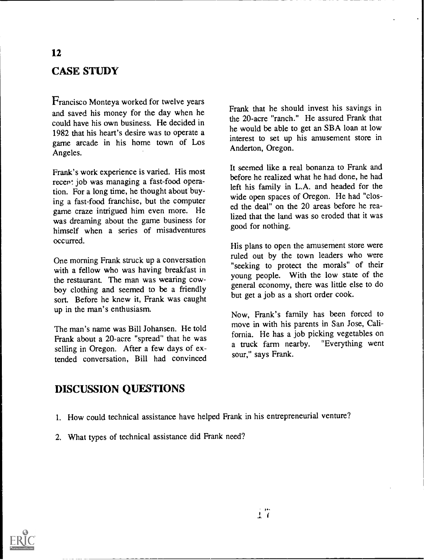# CASE STUDY

Francisco Monteya worked for twelve years and saved his money for the day when he could have his own business. He decided in 1982 that his heart's desire was to operate a game arcade in his home town of Los Angeles.

Frank's work experience is varied. His most recent job was managing a fast-food operation. For a long time, he thought about buying a fast-food franchise, but the computer game craze intrigued him even more. He was dreaming about the game business for himself when a series of misadventures occurred.

One morning Frank struck up a conversation with a fellow who was having breakfast in the restaurant. The man was wearing cowboy clothing and seemed to be a friendly sort. Before he knew it, Frank was caught up in the man's enthusiasm.

The man's name was Bill Johansen. He told Frank about a 20-acre "spread" that he was selling in Oregon. After a few days of extended conversation, Bill had convinced Frank that he should invest his savings in the 20-acre "ranch." He assured Frank that he would be able to get an SBA loan at low interest to set up his amusement store in Anderton, Oregon.

It seemed like a real bonanza to Frank and before he realized what he had done, he had left his family in L.A. and headed for the wide open spaces of Oregon. He had "closed the deal" on the 20 areas before he realized that the land was so eroded that it was good for nothing.

His plans to open the amusement store were ruled out by the town leaders who were "seeking to protect the morals" of their young people. With the low state of the general economy, there was little else to do but get a job as a short order cook.

Now, Frank's family has been forced to move in with his parents in San Jose, California. He has a job picking vegetables on a truck farm nearby. "Everything went sour," says Frank.

### DISCUSSION QUESTIONS

- 1. How could technical assistance have helped Frank in his entrepreneurial venture?
- 2. What types of technical assistance did Frank need?

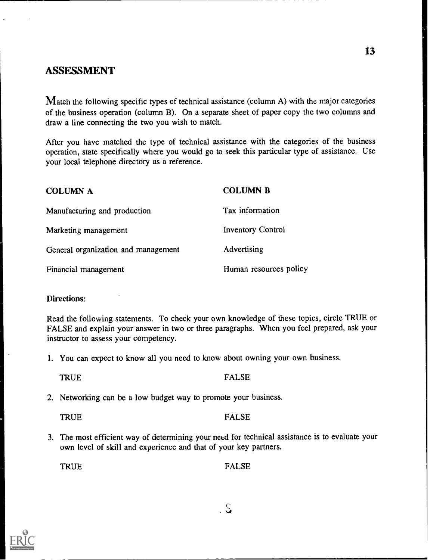### ASSESSMENT

Match the following specific types of technical assistance (column A) with the major categories of the business operation (column B). On a separate sheet of paper copy the two columns and draw a line connecting the two you wish to match.

After you have matched the type of technical assistance with the categories of the business operation, state specifically where you would go to seek this particular type of assistance. Use your local telephone directory as a reference.

| COLUMN A                            | <b>COLUMN B</b>          |
|-------------------------------------|--------------------------|
| Manufacturing and production        | Tax information          |
| Marketing management                | <b>Inventory Control</b> |
| General organization and management | Advertising              |
| Financial management                | Human resources policy   |

#### Directions:

Read the following statements. To check your own knowledge of these topics, circle TRUE or FALSE and explain your answer in two or three paragraphs. When you feel prepared, ask your instructor to assess your competency.

1. You can expect to know all you need to know about owning your own business.

### TRUE FALSE

2. Networking can be a low budget way to promote your business.

TRUE FALSE

3. The most efficient way of determining your need for technical assistance is to evaluate your own level of skill and experience and that of your key partners.

TRUE FALSE

 $\overline{S}$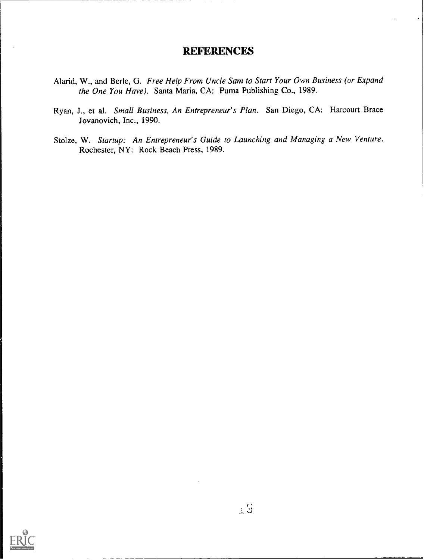### **REFERENCES**

- Alarid, W., and Berle, G. Free Help From Uncle Sam to Start Your Own Business (or Expand the One You Have). Santa Maria, CA: Puma Publishing Co., 1989.
- Ryan, J., et al. Small Business, An Entrepreneur's Plan. San Diego, CA: Harcourt Brace Jovanovich, Inc., 1990.
- Stolze, W. Startup: An Entrepreneur's Guide to Launching and Managing a New Venture. Rochester, NY: Rock Beach Press, 1989.